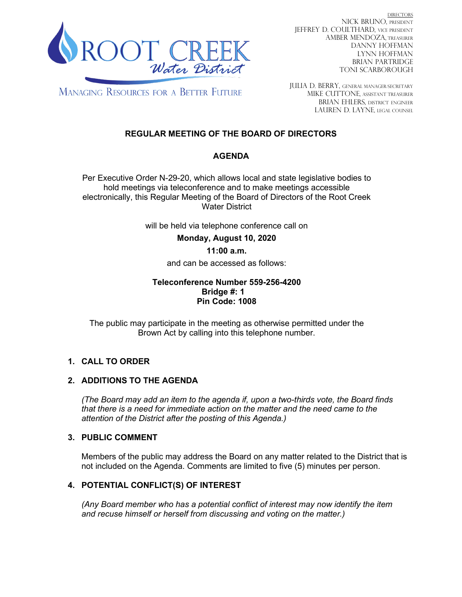

DIRECTORS NICK BRUNO, PRESIDENT JEFFREY D. COULTHARD, Vice President AMBER MENDOZA, TREASURER DANNY HOFFMAN LYNN HOFFMAN BRIAN PARTRIDGE TONI SCARBOROUGH

**MANAGING RESOURCES FOR A BETTER FUTURE** 

JULIA D. BERRY, GENERAL MANAGER/secretary MIKE CUTTONE, Assistant treasurer BRIAN EHLERS, DISTRICT ENGINEER LAUREN D. LAYNE, LEGAL COUNSEL

# **REGULAR MEETING OF THE BOARD OF DIRECTORS**

# **AGENDA**

Per Executive Order N-29-20, which allows local and state legislative bodies to hold meetings via teleconference and to make meetings accessible electronically, this Regular Meeting of the Board of Directors of the Root Creek Water District

will be held via telephone conference call on

**Monday, August 10, 2020** 

## **11:00 a.m.**

and can be accessed as follows:

### **Teleconference Number 559-256-4200 Bridge #: 1 Pin Code: 1008**

The public may participate in the meeting as otherwise permitted under the Brown Act by calling into this telephone number.

# **1. CALL TO ORDER**

## **2. ADDITIONS TO THE AGENDA**

*(The Board may add an item to the agenda if, upon a two-thirds vote, the Board finds that there is a need for immediate action on the matter and the need came to the attention of the District after the posting of this Agenda.)*

## **3. PUBLIC COMMENT**

Members of the public may address the Board on any matter related to the District that is not included on the Agenda. Comments are limited to five (5) minutes per person.

# **4. POTENTIAL CONFLICT(S) OF INTEREST**

*(Any Board member who has a potential conflict of interest may now identify the item and recuse himself or herself from discussing and voting on the matter.)*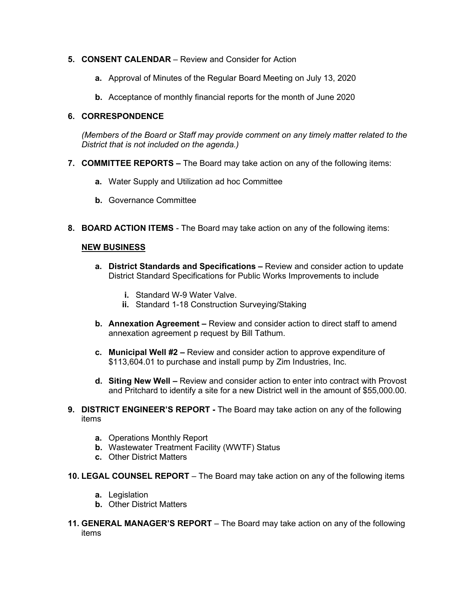### **5. CONSENT CALENDAR** – Review and Consider for Action

- **a.** Approval of Minutes of the Regular Board Meeting on July 13, 2020
- **b.** Acceptance of monthly financial reports for the month of June 2020

### **6. CORRESPONDENCE**

*(Members of the Board or Staff may provide comment on any timely matter related to the District that is not included on the agenda.)*

- **7. COMMITTEE REPORTS –** The Board may take action on any of the following items:
	- **a.** Water Supply and Utilization ad hoc Committee
	- **b.** Governance Committee
- **8. BOARD ACTION ITEMS**  The Board may take action on any of the following items:

#### **NEW BUSINESS**

- **a. District Standards and Specifications –** Review and consider action to update District Standard Specifications for Public Works Improvements to include
	- **i.** Standard W-9 Water Valve.
	- **ii.** Standard 1-18 Construction Surveying/Staking
- **b. Annexation Agreement –** Review and consider action to direct staff to amend annexation agreement p request by Bill Tathum.
- **c. Municipal Well #2 –** Review and consider action to approve expenditure of \$113,604.01 to purchase and install pump by Zim Industries, Inc.
- **d. Siting New Well –** Review and consider action to enter into contract with Provost and Pritchard to identify a site for a new District well in the amount of \$55,000.00.
- **9. DISTRICT ENGINEER'S REPORT -** The Board may take action on any of the following items
	- **a.** Operations Monthly Report
	- **b.** Wastewater Treatment Facility (WWTF) Status
	- **c.** Other District Matters
- **10. LEGAL COUNSEL REPORT** The Board may take action on any of the following items
	- **a.** Legislation
	- **b.** Other District Matters
- **11. GENERAL MANAGER'S REPORT** The Board may take action on any of the following items